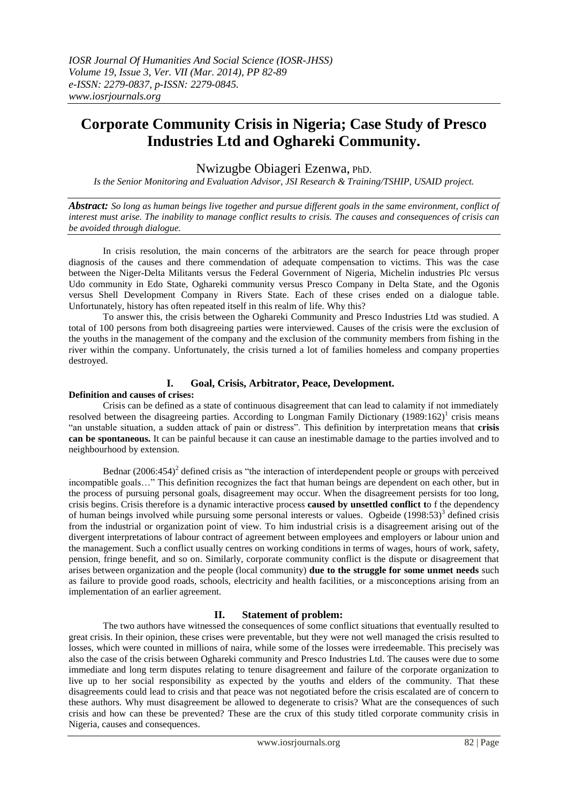# **Corporate Community Crisis in Nigeria; Case Study of Presco Industries Ltd and Oghareki Community.**

Nwizugbe Obiageri Ezenwa, PhD.

*Is the Senior Monitoring and Evaluation Advisor, JSI Research & Training/TSHIP, USAID project.*

*Abstract: So long as human beings live together and pursue different goals in the same environment, conflict of interest must arise. The inability to manage conflict results to crisis. The causes and consequences of crisis can be avoided through dialogue.*

In crisis resolution, the main concerns of the arbitrators are the search for peace through proper diagnosis of the causes and there commendation of adequate compensation to victims. This was the case between the Niger-Delta Militants versus the Federal Government of Nigeria, Michelin industries Plc versus Udo community in Edo State, Oghareki community versus Presco Company in Delta State, and the Ogonis versus Shell Development Company in Rivers State. Each of these crises ended on a dialogue table. Unfortunately, history has often repeated itself in this realm of life. Why this?

To answer this, the crisis between the Oghareki Community and Presco Industries Ltd was studied. A total of 100 persons from both disagreeing parties were interviewed. Causes of the crisis were the exclusion of the youths in the management of the company and the exclusion of the community members from fishing in the river within the company. Unfortunately, the crisis turned a lot of families homeless and company properties destroyed.

# **I. Goal, Crisis, Arbitrator, Peace, Development.**

#### **Definition and causes of crises:**

Crisis can be defined as a state of continuous disagreement that can lead to calamity if not immediately resolved between the disagreeing parties. According to Longman Family Dictionary  $(1989:162)^{1}$  crisis means "an unstable situation, a sudden attack of pain or distress". This definition by interpretation means that **crisis can be spontaneous.** It can be painful because it can cause an inestimable damage to the parties involved and to neighbourhood by extension.

Bednar  $(2006:454)^2$  defined crisis as "the interaction of interdependent people or groups with perceived incompatible goals…" This definition recognizes the fact that human beings are dependent on each other, but in the process of pursuing personal goals, disagreement may occur. When the disagreement persists for too long, crisis begins. Crisis therefore is a dynamic interactive process **caused by unsettled conflict t**o f the dependency of human beings involved while pursuing some personal interests or values. Ogbeide (1998:53)<sup>3</sup> defined crisis from the industrial or organization point of view. To him industrial crisis is a disagreement arising out of the divergent interpretations of labour contract of agreement between employees and employers or labour union and the management. Such a conflict usually centres on working conditions in terms of wages, hours of work, safety, pension, fringe benefit, and so on. Similarly, corporate community conflict is the dispute or disagreement that arises between organization and the people (local community) **due to the struggle for some unmet needs** such as failure to provide good roads, schools, electricity and health facilities, or a misconceptions arising from an implementation of an earlier agreement.

## **II. Statement of problem:**

The two authors have witnessed the consequences of some conflict situations that eventually resulted to great crisis. In their opinion, these crises were preventable, but they were not well managed the crisis resulted to losses, which were counted in millions of naira, while some of the losses were irredeemable. This precisely was also the case of the crisis between Oghareki community and Presco Industries Ltd. The causes were due to some immediate and long term disputes relating to tenure disagreement and failure of the corporate organization to live up to her social responsibility as expected by the youths and elders of the community. That these disagreements could lead to crisis and that peace was not negotiated before the crisis escalated are of concern to these authors. Why must disagreement be allowed to degenerate to crisis? What are the consequences of such crisis and how can these be prevented? These are the crux of this study titled corporate community crisis in Nigeria, causes and consequences.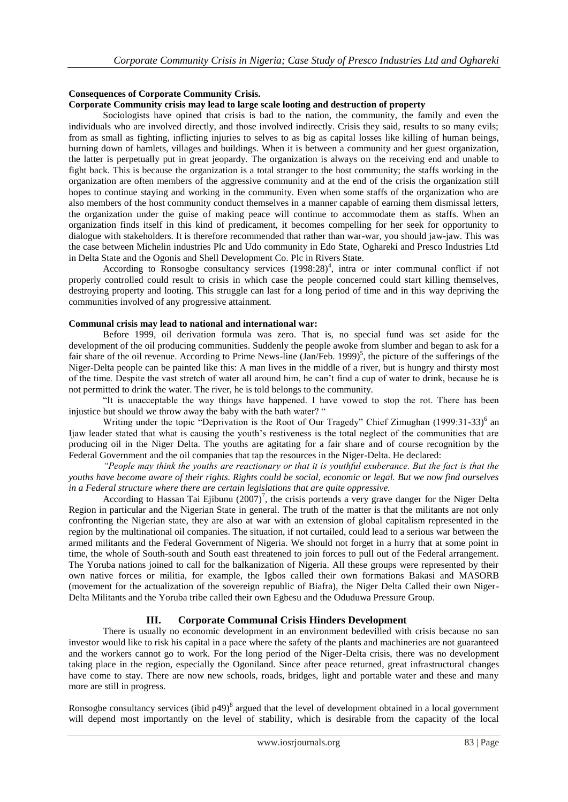## **Consequences of Corporate Community Crisis.**

#### **Corporate Community crisis may lead to large scale looting and destruction of property**

Sociologists have opined that crisis is bad to the nation, the community, the family and even the individuals who are involved directly, and those involved indirectly. Crisis they said, results to so many evils; from as small as fighting, inflicting injuries to selves to as big as capital losses like killing of human beings, burning down of hamlets, villages and buildings. When it is between a community and her guest organization, the latter is perpetually put in great jeopardy. The organization is always on the receiving end and unable to fight back. This is because the organization is a total stranger to the host community; the staffs working in the organization are often members of the aggressive community and at the end of the crisis the organization still hopes to continue staying and working in the community. Even when some staffs of the organization who are also members of the host community conduct themselves in a manner capable of earning them dismissal letters, the organization under the guise of making peace will continue to accommodate them as staffs. When an organization finds itself in this kind of predicament, it becomes compelling for her seek for opportunity to dialogue with stakeholders. It is therefore recommended that rather than war-war, you should jaw-jaw. This was the case between Michelin industries Plc and Udo community in Edo State, Oghareki and Presco Industries Ltd in Delta State and the Ogonis and Shell Development Co. Plc in Rivers State.

According to Ronsogbe consultancy services (1998:28)<sup>4</sup>, intra or inter communal conflict if not properly controlled could result to crisis in which case the people concerned could start killing themselves, destroying property and looting. This struggle can last for a long period of time and in this way depriving the communities involved of any progressive attainment.

## **Communal crisis may lead to national and international war:**

Before 1999, oil derivation formula was zero. That is, no special fund was set aside for the development of the oil producing communities. Suddenly the people awoke from slumber and began to ask for a fair share of the oil revenue. According to Prime News-line (Jan/Feb. 1999)<sup>5</sup>, the picture of the sufferings of the Niger-Delta people can be painted like this: A man lives in the middle of a river, but is hungry and thirsty most of the time. Despite the vast stretch of water all around him, he can't find a cup of water to drink, because he is not permitted to drink the water. The river, he is told belongs to the community.

"It is unacceptable the way things have happened. I have vowed to stop the rot. There has been injustice but should we throw away the baby with the bath water? "

Writing under the topic "Deprivation is the Root of Our Tragedy" Chief Zimughan (1999:31-33)<sup>6</sup> an Ijaw leader stated that what is causing the youth's restiveness is the total neglect of the communities that are producing oil in the Niger Delta. The youths are agitating for a fair share and of course recognition by the Federal Government and the oil companies that tap the resources in the Niger-Delta. He declared:

*"People may think the youths are reactionary or that it is youthful exuberance. But the fact is that the youths have become aware of their rights. Rights could be social, economic or legal. But we now find ourselves in a Federal structure where there are certain legislations that are quite oppressive.*

According to Hassan Tai Ejibunu  $(2007)^7$ , the crisis portends a very grave danger for the Niger Delta Region in particular and the Nigerian State in general. The truth of the matter is that the militants are not only confronting the Nigerian state, they are also at war with an extension of global capitalism represented in the region by the multinational oil companies. The situation, if not curtailed, could lead to a serious war between the armed militants and the Federal Government of Nigeria. We should not forget in a hurry that at some point in time, the whole of South-south and South east threatened to join forces to pull out of the Federal arrangement. The Yoruba nations joined to call for the balkanization of Nigeria. All these groups were represented by their own native forces or militia, for example, the Igbos called their own formations Bakasi and MASORB (movement for the actualization of the sovereign republic of Biafra), the Niger Delta Called their own Niger-Delta Militants and the Yoruba tribe called their own Egbesu and the Oduduwa Pressure Group.

## **III. Corporate Communal Crisis Hinders Development**

There is usually no economic development in an environment bedevilled with crisis because no san investor would like to risk his capital in a pace where the safety of the plants and machineries are not guaranteed and the workers cannot go to work. For the long period of the Niger-Delta crisis, there was no development taking place in the region, especially the Ogoniland. Since after peace returned, great infrastructural changes have come to stay. There are now new schools, roads, bridges, light and portable water and these and many more are still in progress.

Ronsogbe consultancy services (ibid  $p49$ )<sup>8</sup> argued that the level of development obtained in a local government will depend most importantly on the level of stability, which is desirable from the capacity of the local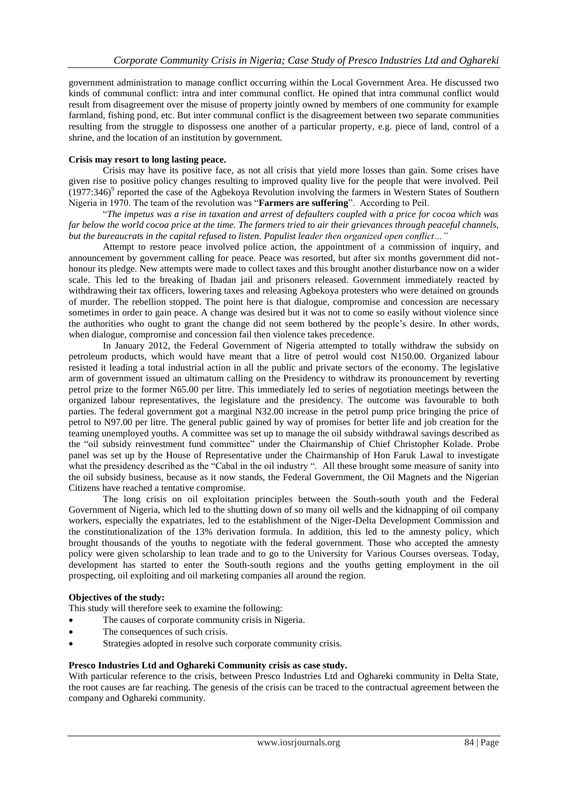government administration to manage conflict occurring within the Local Government Area. He discussed two kinds of communal conflict: intra and inter communal conflict. He opined that intra communal conflict would result from disagreement over the misuse of property jointly owned by members of one community for example farmland, fishing pond, etc. But inter communal conflict is the disagreement between two separate communities resulting from the struggle to dispossess one another of a particular property, e.g. piece of land, control of a shrine, and the location of an institution by government.

#### **Crisis may resort to long lasting peace.**

Crisis may have its positive face, as not all crisis that yield more losses than gain. Some crises have given rise to positive policy changes resulting to improved quality live for the people that were involved. Peil  $(1977:346)$ <sup>9</sup> reported the case of the Agbekoya Revolution involving the farmers in Western States of Southern Nigeria in 1970. The team of the revolution was "**Farmers are suffering**". According to Peil.

"*The impetus was a rise in taxation and arrest of defaulters coupled with a price for cocoa which was*  far below the world cocoa price at the time. The farmers tried to air their grievances through peaceful channels, *but the bureaucrats in the capital refused to listen. Populist leader then organized open conflict…"*

Attempt to restore peace involved police action, the appointment of a commission of inquiry, and announcement by government calling for peace. Peace was resorted, but after six months government did nothonour its pledge. New attempts were made to collect taxes and this brought another disturbance now on a wider scale. This led to the breaking of Ibadan jail and prisoners released. Government immediately reacted by withdrawing their tax officers, lowering taxes and releasing Agbekoya protesters who were detained on grounds of murder. The rebellion stopped. The point here is that dialogue, compromise and concession are necessary sometimes in order to gain peace. A change was desired but it was not to come so easily without violence since the authorities who ought to grant the change did not seem bothered by the people's desire. In other words, when dialogue, compromise and concession fail then violence takes precedence.

In January 2012, the Federal Government of Nigeria attempted to totally withdraw the subsidy on petroleum products, which would have meant that a litre of petrol would cost N150.00. Organized labour resisted it leading a total industrial action in all the public and private sectors of the economy. The legislative arm of government issued an ultimatum calling on the Presidency to withdraw its pronouncement by reverting petrol prize to the former N65.00 per litre. This immediately led to series of negotiation meetings between the organized labour representatives, the legislature and the presidency. The outcome was favourable to both parties. The federal government got a marginal N32.00 increase in the petrol pump price bringing the price of petrol to N97.00 per litre. The general public gained by way of promises for better life and job creation for the teaming unemployed youths. A committee was set up to manage the oil subsidy withdrawal savings described as the "oil subsidy reinvestment fund committee" under the Chairmanship of Chief Christopher Kolade. Probe panel was set up by the House of Representative under the Chairmanship of Hon Faruk Lawal to investigate what the presidency described as the "Cabal in the oil industry". All these brought some measure of sanity into the oil subsidy business, because as it now stands, the Federal Government, the Oil Magnets and the Nigerian Citizens have reached a tentative compromise.

The long crisis on oil exploitation principles between the South-south youth and the Federal Government of Nigeria, which led to the shutting down of so many oil wells and the kidnapping of oil company workers, especially the expatriates, led to the establishment of the Niger-Delta Development Commission and the constitutionalization of the 13% derivation formula. In addition, this led to the amnesty policy, which brought thousands of the youths to negotiate with the federal government. Those who accepted the amnesty policy were given scholarship to lean trade and to go to the University for Various Courses overseas. Today, development has started to enter the South-south regions and the youths getting employment in the oil prospecting, oil exploiting and oil marketing companies all around the region.

#### **Objectives of the study:**

This study will therefore seek to examine the following:

- The causes of corporate community crisis in Nigeria.
- The consequences of such crisis.
- Strategies adopted in resolve such corporate community crisis.

#### **Presco Industries Ltd and Oghareki Community crisis as case study.**

With particular reference to the crisis, between Presco Industries Ltd and Oghareki community in Delta State, the root causes are far reaching. The genesis of the crisis can be traced to the contractual agreement between the company and Oghareki community.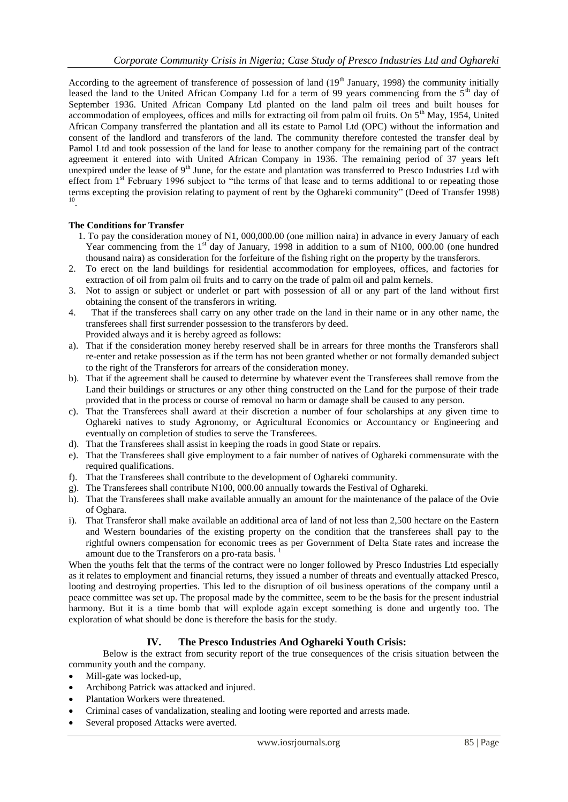According to the agreement of transference of possession of land  $(19<sup>th</sup>$  January, 1998) the community initially leased the land to the United African Company Ltd for a term of 99 years commencing from the 5<sup>th</sup> day of September 1936. United African Company Ltd planted on the land palm oil trees and built houses for accommodation of employees, offices and mills for extracting oil from palm oil fruits. On  $5<sup>th</sup>$  May, 1954, United African Company transferred the plantation and all its estate to Pamol Ltd (OPC) without the information and consent of the landlord and transferors of the land. The community therefore contested the transfer deal by Pamol Ltd and took possession of the land for lease to another company for the remaining part of the contract agreement it entered into with United African Company in 1936. The remaining period of 37 years left unexpired under the lease of 9<sup>th</sup> June, for the estate and plantation was transferred to Presco Industries Ltd with effect from 1<sup>st</sup> February 1996 subject to "the terms of that lease and to terms additional to or repeating those terms excepting the provision relating to payment of rent by the Oghareki community" (Deed of Transfer 1998) 10 .

## **The Conditions for Transfer**

- 1. To pay the consideration money of N1, 000,000.00 (one million naira) in advance in every January of each Year commencing from the  $1<sup>st</sup>$  day of January, 1998 in addition to a sum of N100, 000.00 (one hundred thousand naira) as consideration for the forfeiture of the fishing right on the property by the transferors.
- 2. To erect on the land buildings for residential accommodation for employees, offices, and factories for extraction of oil from palm oil fruits and to carry on the trade of palm oil and palm kernels.
- 3. Not to assign or subject or underlet or part with possession of all or any part of the land without first obtaining the consent of the transferors in writing.
- 4. That if the transferees shall carry on any other trade on the land in their name or in any other name, the transferees shall first surrender possession to the transferors by deed. Provided always and it is hereby agreed as follows:
- a). That if the consideration money hereby reserved shall be in arrears for three months the Transferors shall re-enter and retake possession as if the term has not been granted whether or not formally demanded subject to the right of the Transferors for arrears of the consideration money.
- b). That if the agreement shall be caused to determine by whatever event the Transferees shall remove from the Land their buildings or structures or any other thing constructed on the Land for the purpose of their trade provided that in the process or course of removal no harm or damage shall be caused to any person.
- c). That the Transferees shall award at their discretion a number of four scholarships at any given time to Oghareki natives to study Agronomy, or Agricultural Economics or Accountancy or Engineering and eventually on completion of studies to serve the Transferees.
- d). That the Transferees shall assist in keeping the roads in good State or repairs.
- e). That the Transferees shall give employment to a fair number of natives of Oghareki commensurate with the required qualifications.
- f). That the Transferees shall contribute to the development of Oghareki community.
- g). The Transferees shall contribute N100, 000.00 annually towards the Festival of Oghareki.
- h). That the Transferees shall make available annually an amount for the maintenance of the palace of the Ovie of Oghara.
- i). That Transferor shall make available an additional area of land of not less than 2,500 hectare on the Eastern and Western boundaries of the existing property on the condition that the transferees shall pay to the rightful owners compensation for economic trees as per Government of Delta State rates and increase the amount due to the Transferors on a pro-rata basis.  $<sup>1</sup>$ </sup>

When the youths felt that the terms of the contract were no longer followed by Presco Industries Ltd especially as it relates to employment and financial returns, they issued a number of threats and eventually attacked Presco, looting and destroying properties. This led to the disruption of oil business operations of the company until a peace committee was set up. The proposal made by the committee, seem to be the basis for the present industrial harmony. But it is a time bomb that will explode again except something is done and urgently too. The exploration of what should be done is therefore the basis for the study.

## **IV. The Presco Industries And Oghareki Youth Crisis:**

Below is the extract from security report of the true consequences of the crisis situation between the community youth and the company.

- Mill-gate was locked-up,
- Archibong Patrick was attacked and injured.
- Plantation Workers were threatened.
- Criminal cases of vandalization, stealing and looting were reported and arrests made.
- Several proposed Attacks were averted.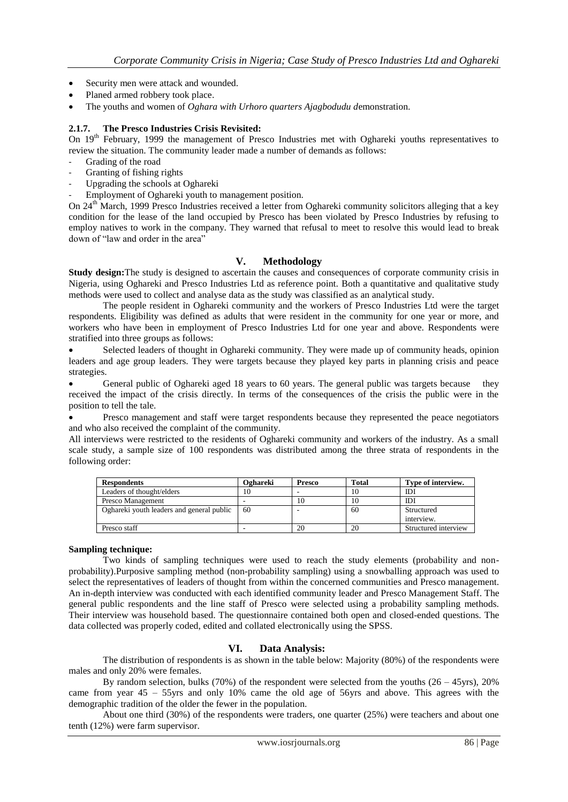- Security men were attack and wounded.
- Planed armed robbery took place.
- The youths and women of *Oghara with Urhoro quarters Ajagbodudu d*emonstration.

## **2.1.7. The Presco Industries Crisis Revisited:**

On 19th February, 1999 the management of Presco Industries met with Oghareki youths representatives to review the situation. The community leader made a number of demands as follows:

- Grading of the road
- Granting of fishing rights
- Upgrading the schools at Oghareki
- Employment of Oghareki youth to management position.

On 24<sup>th</sup> March, 1999 Presco Industries received a letter from Oghareki community solicitors alleging that a key condition for the lease of the land occupied by Presco has been violated by Presco Industries by refusing to employ natives to work in the company. They warned that refusal to meet to resolve this would lead to break down of "law and order in the area"

## **V. Methodology**

**Study design:**The study is designed to ascertain the causes and consequences of corporate community crisis in Nigeria, using Oghareki and Presco Industries Ltd as reference point. Both a quantitative and qualitative study methods were used to collect and analyse data as the study was classified as an analytical study.

The people resident in Oghareki community and the workers of Presco Industries Ltd were the target respondents. Eligibility was defined as adults that were resident in the community for one year or more, and workers who have been in employment of Presco Industries Ltd for one year and above. Respondents were stratified into three groups as follows:

 Selected leaders of thought in Oghareki community. They were made up of community heads, opinion leaders and age group leaders. They were targets because they played key parts in planning crisis and peace strategies.

General public of Oghareki aged 18 years to 60 years. The general public was targets because they received the impact of the crisis directly. In terms of the consequences of the crisis the public were in the position to tell the tale.

 Presco management and staff were target respondents because they represented the peace negotiators and who also received the complaint of the community.

All interviews were restricted to the residents of Oghareki community and workers of the industry. As a small scale study, a sample size of 100 respondents was distributed among the three strata of respondents in the following order:

| <b>Respondents</b>                        | Oghareki | <b>Presco</b> | Total | Type of interview.   |
|-------------------------------------------|----------|---------------|-------|----------------------|
| Leaders of thought/elders                 | 10       |               | 10    | IDI                  |
| Presco Management                         |          | 10            | 10    | IDI                  |
| Oghareki youth leaders and general public | 60       |               | 60    | Structured           |
|                                           |          |               |       | interview.           |
| Presco staff                              |          | 20            | 20    | Structured interview |

#### **Sampling technique:**

Two kinds of sampling techniques were used to reach the study elements (probability and nonprobability).Purposive sampling method (non-probability sampling) using a snowballing approach was used to select the representatives of leaders of thought from within the concerned communities and Presco management. An in-depth interview was conducted with each identified community leader and Presco Management Staff. The general public respondents and the line staff of Presco were selected using a probability sampling methods. Their interview was household based. The questionnaire contained both open and closed-ended questions. The data collected was properly coded, edited and collated electronically using the SPSS.

## **VI. Data Analysis:**

The distribution of respondents is as shown in the table below: Majority (80%) of the respondents were males and only 20% were females.

By random selection, bulks (70%) of the respondent were selected from the youths  $(26 - 45$ yrs),  $20\%$ came from year 45 – 55yrs and only 10% came the old age of 56yrs and above. This agrees with the demographic tradition of the older the fewer in the population.

About one third (30%) of the respondents were traders, one quarter (25%) were teachers and about one tenth (12%) were farm supervisor.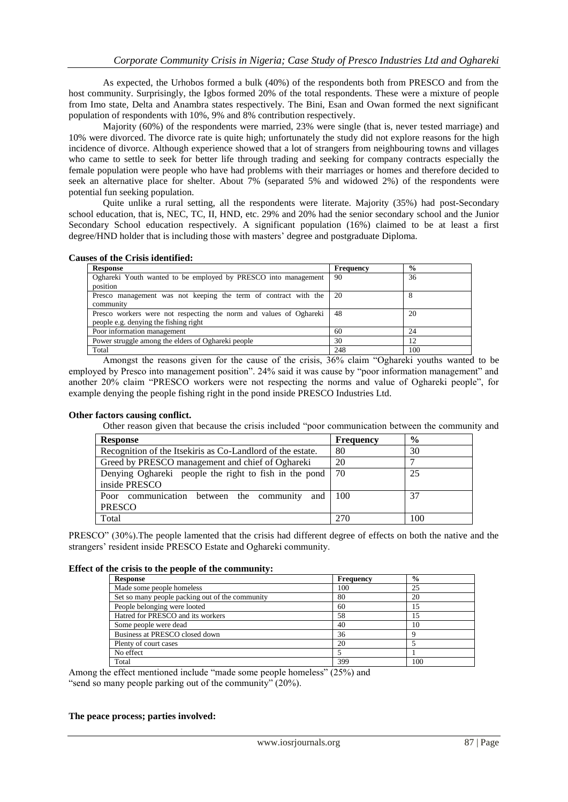As expected, the Urhobos formed a bulk (40%) of the respondents both from PRESCO and from the host community. Surprisingly, the Igbos formed 20% of the total respondents. These were a mixture of people from Imo state, Delta and Anambra states respectively. The Bini, Esan and Owan formed the next significant population of respondents with 10%, 9% and 8% contribution respectively.

Majority (60%) of the respondents were married, 23% were single (that is, never tested marriage) and 10% were divorced. The divorce rate is quite high; unfortunately the study did not explore reasons for the high incidence of divorce. Although experience showed that a lot of strangers from neighbouring towns and villages who came to settle to seek for better life through trading and seeking for company contracts especially the female population were people who have had problems with their marriages or homes and therefore decided to seek an alternative place for shelter. About 7% (separated 5% and widowed 2%) of the respondents were potential fun seeking population.

Quite unlike a rural setting, all the respondents were literate. Majority (35%) had post-Secondary school education, that is, NEC, TC, II, HND, etc. 29% and 20% had the senior secondary school and the Junior Secondary School education respectively. A significant population (16%) claimed to be at least a first degree/HND holder that is including those with masters' degree and postgraduate Diploma.

**Causes of the Crisis identified:**

| <b>Response</b>                                                    | Frequency | $\frac{6}{9}$ |
|--------------------------------------------------------------------|-----------|---------------|
| Oghareki Youth wanted to be employed by PRESCO into management     | 90        | 36            |
| position                                                           |           |               |
| Presco management was not keeping the term of contract with the    | 20        |               |
| community                                                          |           |               |
| Presco workers were not respecting the norm and values of Oghareki | 48        | 20            |
| people e.g. denying the fishing right                              |           |               |
| Poor information management                                        | 60        | 24            |
| Power struggle among the elders of Oghareki people                 | 30        | 12            |
| Total                                                              | 248       | 100           |

Amongst the reasons given for the cause of the crisis, 36% claim "Oghareki youths wanted to be employed by Presco into management position". 24% said it was cause by "poor information management" and another 20% claim "PRESCO workers were not respecting the norms and value of Oghareki people", for example denying the people fishing right in the pond inside PRESCO Industries Ltd.

#### **Other factors causing conflict.**

Other reason given that because the crisis included "poor communication between the community and

| <b>Response</b>                                            | <b>Frequency</b> | $\frac{0}{0}$ |
|------------------------------------------------------------|------------------|---------------|
| Recognition of the Itsekiris as Co-Landlord of the estate. | 80               | 30            |
| Greed by PRESCO management and chief of Oghareki           | 20               |               |
| Denying Oghareki people the right to fish in the pond      | - 70             | 25            |
| inside PRESCO                                              |                  |               |
| Poor communication between the community<br>and $\pm 100$  |                  | 37            |
| <b>PRESCO</b>                                              |                  |               |
| Total                                                      | 270              | 100           |

PRESCO" (30%).The people lamented that the crisis had different degree of effects on both the native and the strangers' resident inside PRESCO Estate and Oghareki community.

#### **Effect of the crisis to the people of the community:**

| <b>Response</b>                                 | Frequency | $\frac{6}{9}$ |
|-------------------------------------------------|-----------|---------------|
| Made some people homeless                       | 100       | 25            |
| Set so many people packing out of the community | 80        | 20            |
| People belonging were looted                    | 60        | 15            |
| Hatred for PRESCO and its workers               | 58        | 15            |
| Some people were dead                           | 40        | 10            |
| Business at PRESCO closed down                  | 36        |               |
| Plenty of court cases                           | 20        |               |
| No effect                                       |           |               |
| Total                                           | 399       | 100           |

Among the effect mentioned include "made some people homeless" (25%) and

"send so many people parking out of the community" (20%).

#### **The peace process; parties involved:**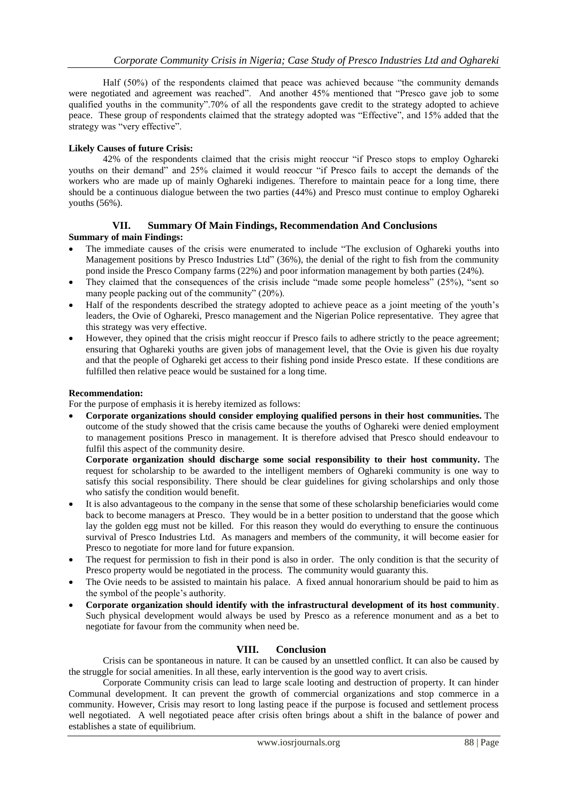Half (50%) of the respondents claimed that peace was achieved because "the community demands were negotiated and agreement was reached". And another 45% mentioned that "Presco gave job to some qualified youths in the community".70% of all the respondents gave credit to the strategy adopted to achieve peace. These group of respondents claimed that the strategy adopted was "Effective", and 15% added that the strategy was "very effective".

## **Likely Causes of future Crisis:**

42% of the respondents claimed that the crisis might reoccur "if Presco stops to employ Oghareki youths on their demand" and 25% claimed it would reoccur "if Presco fails to accept the demands of the workers who are made up of mainly Oghareki indigenes. Therefore to maintain peace for a long time, there should be a continuous dialogue between the two parties (44%) and Presco must continue to employ Oghareki youths (56%).

## **VII. Summary Of Main Findings, Recommendation And Conclusions**

## **Summary of main Findings:**

- The immediate causes of the crisis were enumerated to include "The exclusion of Oghareki youths into Management positions by Presco Industries Ltd" (36%), the denial of the right to fish from the community pond inside the Presco Company farms (22%) and poor information management by both parties (24%).
- They claimed that the consequences of the crisis include "made some people homeless" (25%), "sent so many people packing out of the community" (20%).
- Half of the respondents described the strategy adopted to achieve peace as a joint meeting of the youth's leaders, the Ovie of Oghareki, Presco management and the Nigerian Police representative. They agree that this strategy was very effective.
- However, they opined that the crisis might reoccur if Presco fails to adhere strictly to the peace agreement; ensuring that Oghareki youths are given jobs of management level, that the Ovie is given his due royalty and that the people of Oghareki get access to their fishing pond inside Presco estate. If these conditions are fulfilled then relative peace would be sustained for a long time.

## **Recommendation:**

For the purpose of emphasis it is hereby itemized as follows:

 **Corporate organizations should consider employing qualified persons in their host communities.** The outcome of the study showed that the crisis came because the youths of Oghareki were denied employment to management positions Presco in management. It is therefore advised that Presco should endeavour to fulfil this aspect of the community desire.

**Corporate organization should discharge some social responsibility to their host community.** The request for scholarship to be awarded to the intelligent members of Oghareki community is one way to satisfy this social responsibility. There should be clear guidelines for giving scholarships and only those who satisfy the condition would benefit.

- It is also advantageous to the company in the sense that some of these scholarship beneficiaries would come back to become managers at Presco. They would be in a better position to understand that the goose which lay the golden egg must not be killed. For this reason they would do everything to ensure the continuous survival of Presco Industries Ltd. As managers and members of the community, it will become easier for Presco to negotiate for more land for future expansion.
- The request for permission to fish in their pond is also in order. The only condition is that the security of Presco property would be negotiated in the process. The community would guaranty this.
- The Ovie needs to be assisted to maintain his palace. A fixed annual honorarium should be paid to him as the symbol of the people's authority.
- **Corporate organization should identify with the infrastructural development of its host community**. Such physical development would always be used by Presco as a reference monument and as a bet to negotiate for favour from the community when need be.

## **VIII. Conclusion**

Crisis can be spontaneous in nature. It can be caused by an unsettled conflict. It can also be caused by the struggle for social amenities. In all these, early intervention is the good way to avert crisis.

Corporate Community crisis can lead to large scale looting and destruction of property. It can hinder Communal development. It can prevent the growth of commercial organizations and stop commerce in a community. However, Crisis may resort to long lasting peace if the purpose is focused and settlement process well negotiated. A well negotiated peace after crisis often brings about a shift in the balance of power and establishes a state of equilibrium.